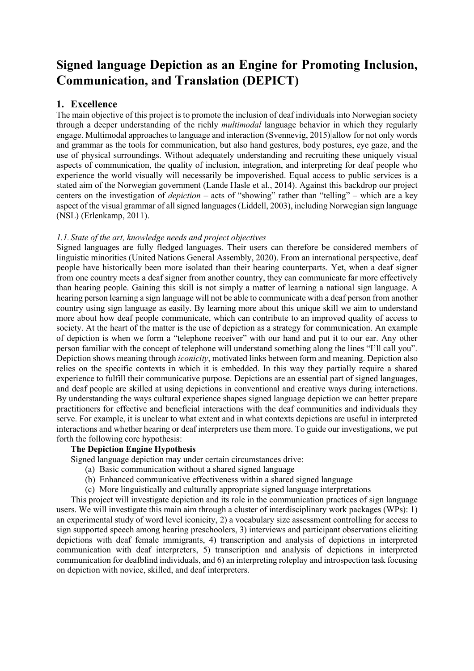# **Signed language Depiction as an Engine for Promoting Inclusion, Communication, and Translation (DEPICT)**

## **1. Excellence**

The main objective of this project is to promote the inclusion of deaf individuals into Norwegian society through a deeper understanding of the richly *multimodal* language behavior in which they regularly engage. Multimodal approaches to language and interaction (Svennevig, 2015) allow for not only words and grammar as the tools for communication, but also hand gestures, body postures, eye gaze, and the use of physical surroundings. Without adequately understanding and recruiting these uniquely visual aspects of communication, the quality of inclusion, integration, and interpreting for deaf people who experience the world visually will necessarily be impoverished. Equal access to public services is a stated aim of the Norwegian government (Lande Hasle et al., 2014). Against this backdrop our project centers on the investigation of *depiction* – acts of "showing" rather than "telling" – which are a key aspect of the visual grammar of all signed languages (Liddell, 2003), including Norwegian sign language (NSL) (Erlenkamp, 2011).

## *1.1. State of the art, knowledge needs and project objectives*

Signed languages are fully fledged languages. Their users can therefore be considered members of linguistic minorities (United Nations General Assembly, 2020). From an international perspective, deaf people have historically been more isolated than their hearing counterparts. Yet, when a deaf signer from one country meets a deaf signer from another country, they can communicate far more effectively than hearing people. Gaining this skill is not simply a matter of learning a national sign language. A hearing person learning a sign language will not be able to communicate with a deaf person from another country using sign language as easily. By learning more about this unique skill we aim to understand more about how deaf people communicate, which can contribute to an improved quality of access to society. At the heart of the matter is the use of depiction as a strategy for communication. An example of depiction is when we form a "telephone receiver" with our hand and put it to our ear. Any other person familiar with the concept of telephone will understand something along the lines "I'll call you". Depiction shows meaning through *iconicity*, motivated links between form and meaning. Depiction also relies on the specific contexts in which it is embedded. In this way they partially require a shared experience to fulfill their communicative purpose. Depictions are an essential part of signed languages, and deaf people are skilled at using depictions in conventional and creative ways during interactions. By understanding the ways cultural experience shapes signed language depiction we can better prepare practitioners for effective and beneficial interactions with the deaf communities and individuals they serve. For example, it is unclear to what extent and in what contexts depictions are useful in interpreted interactions and whether hearing or deaf interpreters use them more. To guide our investigations, we put forth the following core hypothesis:

## **The Depiction Engine Hypothesis**

Signed language depiction may under certain circumstances drive:

- (a) Basic communication without a shared signed language
- (b) Enhanced communicative effectiveness within a shared signed language
- (c) More linguistically and culturally appropriate signed language interpretations

This project will investigate depiction and its role in the communication practices of sign language users. We will investigate this main aim through a cluster of interdisciplinary work packages (WPs): 1) an experimental study of word level iconicity, 2) a vocabulary size assessment controlling for access to sign supported speech among hearing preschoolers, 3) interviews and participant observations eliciting depictions with deaf female immigrants, 4) transcription and analysis of depictions in interpreted communication with deaf interpreters, 5) transcription and analysis of depictions in interpreted communication for deafblind individuals, and 6) an interpreting roleplay and introspection task focusing on depiction with novice, skilled, and deaf interpreters.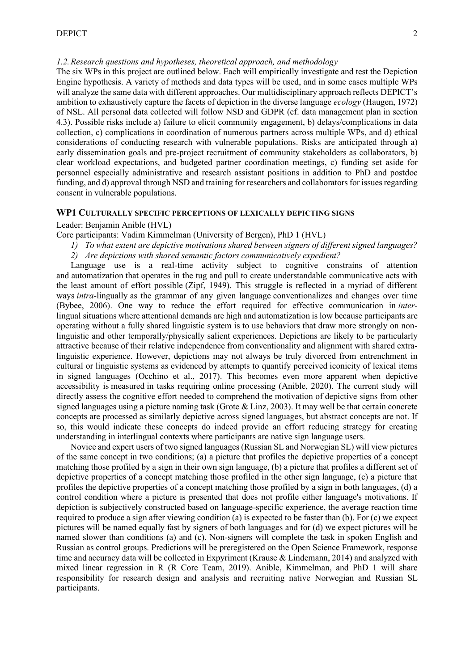#### <span id="page-1-0"></span>*1.2.Research questions and hypotheses, theoretical approach, and methodology*

The six WPs in this project are outlined below. Each will empirically investigate and test the Depiction Engine hypothesis. A variety of methods and data types will be used, and in some cases multiple WPs will analyze the same data with different approaches. Our multidisciplinary approach reflects DEPICT's ambition to exhaustively capture the facets of depiction in the diverse language *ecology* (Haugen, 1972) of NSL. All personal data collected will follow NSD and GDPR (cf. data management plan in section [4.3\)](#page-9-0). Possible risks include a) failure to elicit community engagement, b) delays/complications in data collection, c) complications in coordination of numerous partners across multiple WPs, and d) ethical considerations of conducting research with vulnerable populations. Risks are anticipated through a) early dissemination goals and pre-project recruitment of community stakeholders as collaborators, b) clear workload expectations, and budgeted partner coordination meetings, c) funding set aside for personnel especially administrative and research assistant positions in addition to PhD and postdoc funding, and d) approval through NSD and training for researchers and collaborators for issues regarding consent in vulnerable populations.

### **WP1 CULTURALLY SPECIFIC PERCEPTIONS OF LEXICALLY DEPICTING SIGNS**

Leader: Benjamin Anible (HVL)

Core participants: Vadim Kimmelman (University of Bergen), PhD 1 (HVL)

*1) To what extent are depictive motivations shared between signers of different signed languages? 2) Are depictions with shared semantic factors communicatively expedient?*

Language use is a real-time activity subject to cognitive constrains of attention and automatization that operates in the tug and pull to create understandable communicative acts with the least amount of effort possible (Zipf, 1949). This struggle is reflected in a myriad of different ways *intra-*lingually as the grammar of any given language conventionalizes and changes over time (Bybee, 2006). One way to reduce the effort required for effective communication in *inter*lingual situations where attentional demands are high and automatization is low because participants are operating without a fully shared linguistic system is to use behaviors that draw more strongly on nonlinguistic and other temporally/physically salient experiences. Depictions are likely to be particularly attractive because of their relative independence from conventionality and alignment with shared extralinguistic experience. However, depictions may not always be truly divorced from entrenchment in cultural or linguistic systems as evidenced by attempts to quantify perceived iconicity of lexical items in signed languages (Occhino et al., 2017). This becomes even more apparent when depictive accessibility is measured in tasks requiring online processing (Anible, 2020). The current study will directly assess the cognitive effort needed to comprehend the motivation of depictive signs from other signed languages using a picture naming task (Grote & Linz, 2003). It may well be that certain concrete concepts are processed as similarly depictive across signed languages, but abstract concepts are not. If so, this would indicate these concepts do indeed provide an effort reducing strategy for creating understanding in interlingual contexts where participants are native sign language users.

Novice and expert users of two signed languages (Russian SL and Norwegian SL) will view pictures of the same concept in two conditions; (a) a picture that profiles the depictive properties of a concept matching those profiled by a sign in their own sign language, (b) a picture that profiles a different set of depictive properties of a concept matching those profiled in the other sign language, (c) a picture that profiles the depictive properties of a concept matching those profiled by a sign in both languages, (d) a control condition where a picture is presented that does not profile either language's motivations. If depiction is subjectively constructed based on language-specific experience, the average reaction time required to produce a sign after viewing condition (a) is expected to be faster than (b). For (c) we expect pictures will be named equally fast by signers of both languages and for (d) we expect pictures will be named slower than conditions (a) and (c). Non-signers will complete the task in spoken English and Russian as control groups. Predictions will be preregistered on the Open Science Framework, response time and accuracy data will be collected in Expyriment (Krause & Lindemann, 2014) and analyzed with mixed linear regression in R (R Core Team, 2019). Anible, Kimmelman, and PhD 1 will share responsibility for research design and analysis and recruiting native Norwegian and Russian SL participants.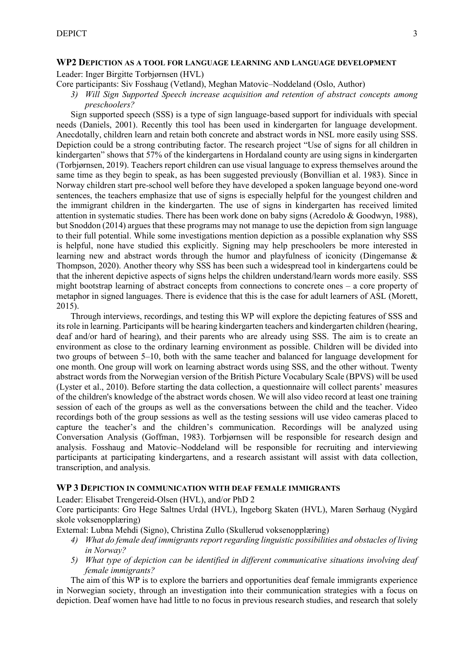#### **WP2 DEPICTION AS A TOOL FOR LANGUAGE LEARNING AND LANGUAGE DEVELOPMENT**

Leader: Inger Birgitte Torbjørnsen (HVL)

Core participants: Siv Fosshaug (Vetland), Meghan Matovic–Noddeland (Oslo, Author)

*3) Will Sign Supported Speech increase acquisition and retention of abstract concepts among preschoolers?*

Sign supported speech (SSS) is a type of sign language-based support for individuals with special needs (Daniels, 2001). Recently this tool has been used in kindergarten for language development. Anecdotally, children learn and retain both concrete and abstract words in NSL more easily using SSS. Depiction could be a strong contributing factor. The research project "Use of signs for all children in kindergarten" shows that 57% of the kindergartens in Hordaland county are using signs in kindergarten (Torbjørnsen, 2019). Teachers report children can use visual language to express themselves around the same time as they begin to speak, as has been suggested previously (Bonvillian et al. 1983). Since in Norway children start pre-school well before they have developed a spoken language beyond one-word sentences, the teachers emphasize that use of signs is especially helpful for the youngest children and the immigrant children in the kindergarten. The use of signs in kindergarten has received limited attention in systematic studies. There has been work done on baby signs (Acredolo & Goodwyn, 1988), but Snoddon (2014) argues that these programs may not manage to use the depiction from sign language to their full potential. While some investigations mention depiction as a possible explanation why SSS is helpful, none have studied this explicitly. Signing may help preschoolers be more interested in learning new and abstract words through the humor and playfulness of iconicity (Dingemanse & Thompson, 2020). Another theory why SSS has been such a widespread tool in kindergartens could be that the inherent depictive aspects of signs helps the children understand/learn words more easily. SSS might bootstrap learning of abstract concepts from connections to concrete ones – a core property of metaphor in signed languages. There is evidence that this is the case for adult learners of ASL (Morett, 2015).

Through interviews, recordings, and testing this WP will explore the depicting features of SSS and its role in learning. Participants will be hearing kindergarten teachers and kindergarten children (hearing, deaf and/or hard of hearing), and their parents who are already using SSS. The aim is to create an environment as close to the ordinary learning environment as possible. Children will be divided into two groups of between 5–10, both with the same teacher and balanced for language development for one month. One group will work on learning abstract words using SSS, and the other without. Twenty abstract words from the Norwegian version of the British Picture Vocabulary Scale (BPVS) will be used (Lyster et al., 2010). Before starting the data collection, a questionnaire will collect parents' measures of the children's knowledge of the abstract words chosen. We will also video record at least one training session of each of the groups as well as the conversations between the child and the teacher. Video recordings both of the group sessions as well as the testing sessions will use video cameras placed to capture the teacher's and the children's communication. Recordings will be analyzed using Conversation Analysis (Goffman, 1983). Torbjørnsen will be responsible for research design and analysis. Fosshaug and Matovic–Noddeland will be responsible for recruiting and interviewing participants at participating kindergartens, and a research assistant will assist with data collection, transcription, and analysis.

#### **WP 3 DEPICTION IN COMMUNICATION WITH DEAF FEMALE IMMIGRANTS**

Leader: Elisabet Trengereid-Olsen (HVL), and/or PhD 2

Core participants: Gro Hege Saltnes Urdal (HVL), Ingeborg Skaten (HVL), Maren Sørhaug (Nygård skole voksenopplæring)

External: Lubna Mehdi (Signo), Christina Zullo (Skullerud voksenopplæring)

- *4) What do female deaf immigrants report regarding linguistic possibilities and obstacles of living in Norway?*
- *5) What type of depiction can be identified in different communicative situations involving deaf female immigrants?*

The aim of this WP is to explore the barriers and opportunities deaf female immigrants experience in Norwegian society, through an investigation into their communication strategies with a focus on depiction. Deaf women have had little to no focus in previous research studies, and research that solely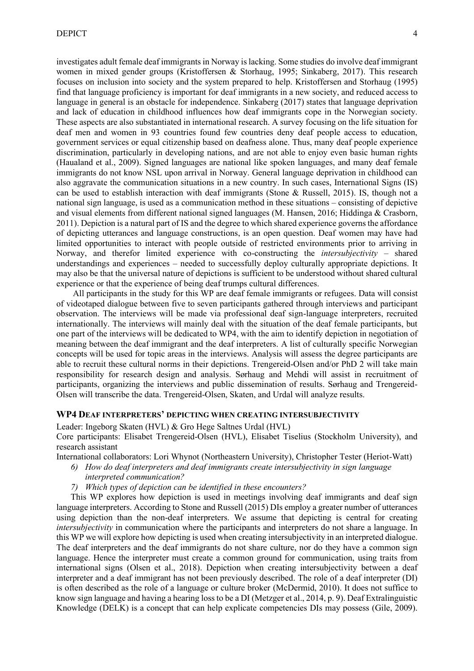investigates adult female deaf immigrants in Norway is lacking. Some studies do involve deaf immigrant women in mixed gender groups (Kristoffersen & Storhaug, 1995; Sinkaberg, 2017). This research focuses on inclusion into society and the system prepared to help. Kristoffersen and Storhaug (1995) find that language proficiency is important for deaf immigrants in a new society, and reduced access to language in general is an obstacle for independence. Sinkaberg (2017) states that language deprivation and lack of education in childhood influences how deaf immigrants cope in the Norwegian society. These aspects are also substantiated in international research. A survey focusing on the life situation for deaf men and women in 93 countries found few countries deny deaf people access to education, government services or equal citizenship based on deafness alone. Thus, many deaf people experience discrimination, particularly in developing nations, and are not able to enjoy even basic human rights (Haualand et al., 2009). Signed languages are national like spoken languages, and many deaf female immigrants do not know NSL upon arrival in Norway. General language deprivation in childhood can also aggravate the communication situations in a new country. In such cases, International Signs (IS) can be used to establish interaction with deaf immigrants (Stone & Russell, 2015). IS, though not a national sign language, is used as a communication method in these situations – consisting of depictive and visual elements from different national signed languages (M. Hansen, 2016; Hiddinga & Crasborn, 2011). Depiction is a natural part of IS and the degree to which shared experience governs the affordance of depicting utterances and language constructions, is an open question. Deaf women may have had limited opportunities to interact with people outside of restricted environments prior to arriving in Norway, and therefor limited experience with co-constructing the *intersubjectivity* – shared understandings and experiences – needed to successfully deploy culturally appropriate depictions. It may also be that the universal nature of depictions is sufficient to be understood without shared cultural experience or that the experience of being deaf trumps cultural differences.

All participants in the study for this WP are deaf female immigrants or refugees. Data will consist of videotaped dialogue between five to seven participants gathered through interviews and participant observation. The interviews will be made via professional deaf sign-language interpreters, recruited internationally. The interviews will mainly deal with the situation of the deaf female participants, but one part of the interviews will be dedicated to WP4, with the aim to identify depiction in negotiation of meaning between the deaf immigrant and the deaf interpreters. A list of culturally specific Norwegian concepts will be used for topic areas in the interviews. Analysis will assess the degree participants are able to recruit these cultural norms in their depictions. Trengereid-Olsen and/or PhD 2 will take main responsibility for research design and analysis. Sørhaug and Mehdi will assist in recruitment of participants, organizing the interviews and public dissemination of results. Sørhaug and Trengereid-Olsen will transcribe the data. Trengereid-Olsen, Skaten, and Urdal will analyze results.

## **WP4 DEAF INTERPRETERS' DEPICTING WHEN CREATING INTERSUBJECTIVITY**

Leader: Ingeborg Skaten (HVL) & Gro Hege Saltnes Urdal (HVL)

Core participants: Elisabet Trengereid-Olsen (HVL), Elisabet Tiselius (Stockholm University), and research assistant

International collaborators: Lori Whynot (Northeastern University), Christopher Tester (Heriot-Watt)

- *6) How do deaf interpreters and deaf immigrants create intersubjectivity in sign language interpreted communication?*
- *7) Which types of depiction can be identified in these encounters?*

This WP explores how depiction is used in meetings involving deaf immigrants and deaf sign language interpreters. According to Stone and Russell (2015) DIs employ a greater number of utterances using depiction than the non-deaf interpreters. We assume that depicting is central for creating *intersubjectivity* in communication where the participants and interpreters do not share a language. In this WP we will explore how depicting is used when creating intersubjectivity in an interpreted dialogue. The deaf interpreters and the deaf immigrants do not share culture, nor do they have a common sign language. Hence the interpreter must create a common ground for communication, using traits from international signs (Olsen et al., 2018). Depiction when creating intersubjectivity between a deaf interpreter and a deaf immigrant has not been previously described. The role of a deaf interpreter (DI) is often described as the role of a language or culture broker (McDermid, 2010). It does not suffice to know sign language and having a hearing loss to be a DI (Metzger et al., 2014, p. 9). Deaf Extralinguistic Knowledge (DELK) is a concept that can help explicate competencies DIs may possess (Gile, 2009).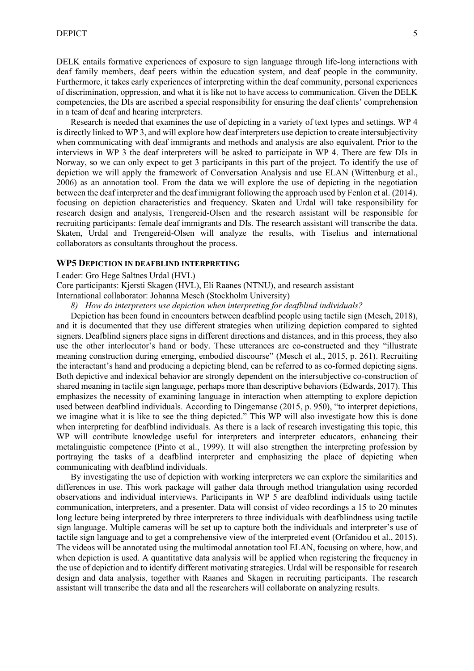DELK entails formative experiences of exposure to sign language through life-long interactions with deaf family members, deaf peers within the education system, and deaf people in the community. Furthermore, it takes early experiences of interpreting within the deaf community, personal experiences of discrimination, oppression, and what it is like not to have access to communication. Given the DELK competencies, the DIs are ascribed a special responsibility for ensuring the deaf clients' comprehension in a team of deaf and hearing interpreters.

Research is needed that examines the use of depicting in a variety of text types and settings. WP 4 is directly linked to WP 3, and will explore how deaf interpreters use depiction to create intersubjectivity when communicating with deaf immigrants and methods and analysis are also equivalent. Prior to the interviews in WP 3 the deaf interpreters will be asked to participate in WP 4. There are few DIs in Norway, so we can only expect to get 3 participants in this part of the project. To identify the use of depiction we will apply the framework of Conversation Analysis and use ELAN (Wittenburg et al., 2006) as an annotation tool. From the data we will explore the use of depicting in the negotiation between the deaf interpreter and the deaf immigrant following the approach used by Fenlon et al. (2014). focusing on depiction characteristics and frequency. Skaten and Urdal will take responsibility for research design and analysis, Trengereid-Olsen and the research assistant will be responsible for recruiting participants: female deaf immigrants and DIs. The research assistant will transcribe the data. Skaten, Urdal and Trengereid-Olsen will analyze the results, with Tiselius and international collaborators as consultants throughout the process.

#### **WP5 DEPICTION IN DEAFBLIND INTERPRETING**

Leader: Gro Hege Saltnes Urdal (HVL)

Core participants: Kjersti Skagen (HVL), Eli Raanes (NTNU), and research assistant

International collaborator: Johanna Mesch (Stockholm University)

*8) How do interpreters use depiction when interpreting for deafblind individuals?*

Depiction has been found in encounters between deafblind people using tactile sign (Mesch, 2018), and it is documented that they use different strategies when utilizing depiction compared to sighted signers. Deafblind signers place signs in different directions and distances, and in this process, they also use the other interlocutor's hand or body. These utterances are co-constructed and they "illustrate meaning construction during emerging, embodied discourse" (Mesch et al., 2015, p. 261). Recruiting the interactant's hand and producing a depicting blend, can be referred to as co-formed depicting signs. Both depictive and indexical behavior are strongly dependent on the intersubjective co-construction of shared meaning in tactile sign language, perhaps more than descriptive behaviors (Edwards, 2017). This emphasizes the necessity of examining language in interaction when attempting to explore depiction used between deafblind individuals. According to Dingemanse (2015, p. 950), "to interpret depictions, we imagine what it is like to see the thing depicted." This WP will also investigate how this is done when interpreting for deafblind individuals. As there is a lack of research investigating this topic, this WP will contribute knowledge useful for interpreters and interpreter educators, enhancing their metalinguistic competence (Pinto et al., 1999). It will also strengthen the interpreting profession by portraying the tasks of a deafblind interpreter and emphasizing the place of depicting when communicating with deafblind individuals.

By investigating the use of depiction with working interpreters we can explore the similarities and differences in use. This work package will gather data through method triangulation using recorded observations and individual interviews. Participants in WP 5 are deafblind individuals using tactile communication, interpreters, and a presenter. Data will consist of video recordings a 15 to 20 minutes long lecture being interpreted by three interpreters to three individuals with deafblindness using tactile sign language. Multiple cameras will be set up to capture both the individuals and interpreter's use of tactile sign language and to get a comprehensive view of the interpreted event (Orfanidou et al., 2015). The videos will be annotated using the multimodal annotation tool ELAN, focusing on where, how, and when depiction is used. A quantitative data analysis will be applied when registering the frequency in the use of depiction and to identify different motivating strategies. Urdal will be responsible for research design and data analysis, together with Raanes and Skagen in recruiting participants. The research assistant will transcribe the data and all the researchers will collaborate on analyzing results.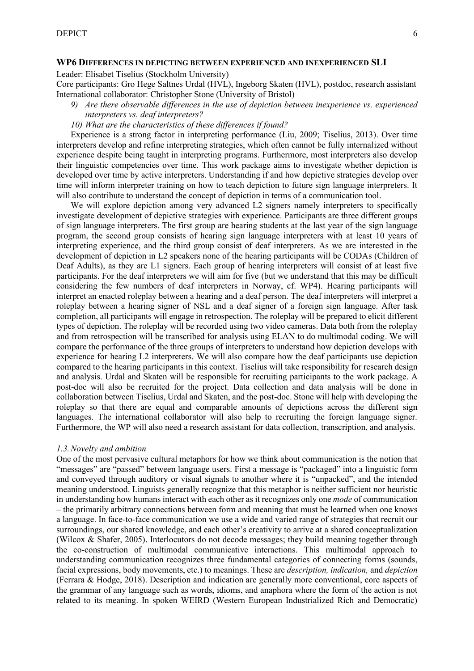#### **WP6 DIFFERENCES IN DEPICTING BETWEEN EXPERIENCED AND INEXPERIENCED SLI**

Leader: Elisabet Tiselius (Stockholm University)

Core participants: Gro Hege Saltnes Urdal (HVL), Ingeborg Skaten (HVL), postdoc, research assistant International collaborator: Christopher Stone (University of Bristol)

- *9) Are there observable differences in the use of depiction between inexperience vs. experienced interpreters vs. deaf interpreters?*
- *10) What are the characteristics of these differences if found?*

Experience is a strong factor in interpreting performance (Liu, 2009; Tiselius, 2013). Over time interpreters develop and refine interpreting strategies, which often cannot be fully internalized without experience despite being taught in interpreting programs. Furthermore, most interpreters also develop their linguistic competencies over time. This work package aims to investigate whether depiction is developed over time by active interpreters. Understanding if and how depictive strategies develop over time will inform interpreter training on how to teach depiction to future sign language interpreters. It will also contribute to understand the concept of depiction in terms of a communication tool.

We will explore depiction among very advanced L2 signers namely interpreters to specifically investigate development of depictive strategies with experience. Participants are three different groups of sign language interpreters. The first group are hearing students at the last year of the sign language program, the second group consists of hearing sign language interpreters with at least 10 years of interpreting experience, and the third group consist of deaf interpreters. As we are interested in the development of depiction in L2 speakers none of the hearing participants will be CODAs (Children of Deaf Adults), as they are L1 signers. Each group of hearing interpreters will consist of at least five participants. For the deaf interpreters we will aim for five (but we understand that this may be difficult considering the few numbers of deaf interpreters in Norway, cf. WP4). Hearing participants will interpret an enacted roleplay between a hearing and a deaf person. The deaf interpreters will interpret a roleplay between a hearing signer of NSL and a deaf signer of a foreign sign language. After task completion, all participants will engage in retrospection. The roleplay will be prepared to elicit different types of depiction. The roleplay will be recorded using two video cameras. Data both from the roleplay and from retrospection will be transcribed for analysis using ELAN to do multimodal coding. We will compare the performance of the three groups of interpreters to understand how depiction develops with experience for hearing L2 interpreters. We will also compare how the deaf participants use depiction compared to the hearing participants in this context. Tiselius will take responsibility for research design and analysis. Urdal and Skaten will be responsible for recruiting participants to the work package. A post-doc will also be recruited for the project. Data collection and data analysis will be done in collaboration between Tiselius, Urdal and Skaten, and the post-doc. Stone will help with developing the roleplay so that there are equal and comparable amounts of depictions across the different sign languages. The international collaborator will also help to recruiting the foreign language signer. Furthermore, the WP will also need a research assistant for data collection, transcription, and analysis.

#### *1.3.Novelty and ambition*

One of the most pervasive cultural metaphors for how we think about communication is the notion that "messages" are "passed" between language users. First a message is "packaged" into a linguistic form and conveyed through auditory or visual signals to another where it is "unpacked", and the intended meaning understood. Linguists generally recognize that this metaphor is neither sufficient nor heuristic in understanding how humans interact with each other as it recognizes only one *mode* of communication – the primarily arbitrary connections between form and meaning that must be learned when one knows a language. In face-to-face communication we use a wide and varied range of strategies that recruit our surroundings, our shared knowledge, and each other's creativity to arrive at a shared conceptualization (Wilcox & Shafer, 2005). Interlocutors do not decode messages; they build meaning together through the co-construction of multimodal communicative interactions. This multimodal approach to understanding communication recognizes three fundamental categories of connecting forms (sounds, facial expressions, body movements, etc.) to meanings. These are *description, indication,* and *depiction*  (Ferrara & Hodge, 2018). Description and indication are generally more conventional, core aspects of the grammar of any language such as words, idioms, and anaphora where the form of the action is not related to its meaning. In spoken WEIRD (Western European Industrialized Rich and Democratic)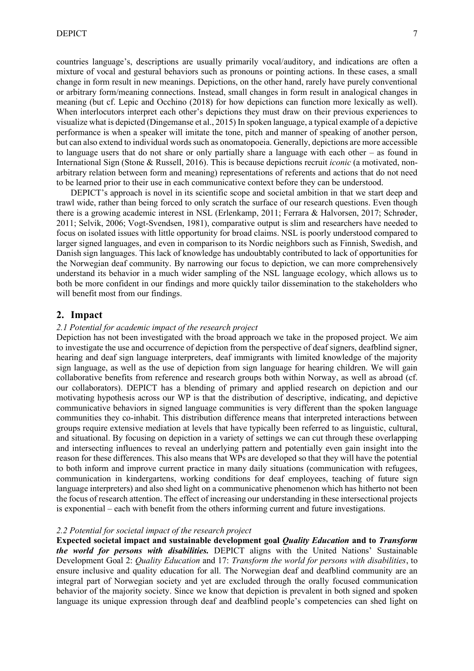countries language's, descriptions are usually primarily vocal/auditory, and indications are often a mixture of vocal and gestural behaviors such as pronouns or pointing actions. In these cases, a small change in form result in new meanings. Depictions, on the other hand, rarely have purely conventional or arbitrary form/meaning connections. Instead, small changes in form result in analogical changes in meaning (but cf. Lepic and Occhino (2018) for how depictions can function more lexically as well). When interlocutors interpret each other's depictions they must draw on their previous experiences to visualize what is depicted (Dingemanse et al., 2015) In spoken language, a typical example of a depictive performance is when a speaker will imitate the tone, pitch and manner of speaking of another person, but can also extend to individual words such as onomatopoeia. Generally, depictions are more accessible to language users that do not share or only partially share a language with each other – as found in International Sign (Stone & Russell, 2016). This is because depictions recruit *iconic* (a motivated, nonarbitrary relation between form and meaning) representations of referents and actions that do not need to be learned prior to their use in each communicative context before they can be understood.

DEPICT's approach is novel in its scientific scope and societal ambition in that we start deep and trawl wide, rather than being forced to only scratch the surface of our research questions. Even though there is a growing academic interest in NSL (Erlenkamp, 2011; Ferrara & Halvorsen, 2017; Schrøder, 2011; Selvik, 2006; Vogt-Svendsen, 1981), comparative output is slim and researchers have needed to focus on isolated issues with little opportunity for broad claims. NSL is poorly understood compared to larger signed languages, and even in comparison to its Nordic neighbors such as Finnish, Swedish, and Danish sign languages. This lack of knowledge has undoubtably contributed to lack of opportunities for the Norwegian deaf community. By narrowing our focus to depiction, we can more comprehensively understand its behavior in a much wider sampling of the NSL language ecology, which allows us to both be more confident in our findings and more quickly tailor dissemination to the stakeholders who will benefit most from our findings.

#### **2. Impact**

#### *2.1 Potential for academic impact of the research project*

Depiction has not been investigated with the broad approach we take in the proposed project. We aim to investigate the use and occurrence of depiction from the perspective of deaf signers, deafblind signer, hearing and deaf sign language interpreters, deaf immigrants with limited knowledge of the majority sign language, as well as the use of depiction from sign language for hearing children. We will gain collaborative benefits from reference and research groups both within Norway, as well as abroad (cf. our collaborators). DEPICT has a blending of primary and applied research on depiction and our motivating hypothesis across our WP is that the distribution of descriptive, indicating, and depictive communicative behaviors in signed language communities is very different than the spoken language communities they co-inhabit. This distribution difference means that interpreted interactions between groups require extensive mediation at levels that have typically been referred to as linguistic, cultural, and situational. By focusing on depiction in a variety of settings we can cut through these overlapping and intersecting influences to reveal an underlying pattern and potentially even gain insight into the reason for these differences. This also means that WPs are developed so that they will have the potential to both inform and improve current practice in many daily situations (communication with refugees, communication in kindergartens, working conditions for deaf employees, teaching of future sign language interpreters) and also shed light on a communicative phenomenon which has hitherto not been the focus of research attention. The effect of increasing our understanding in these intersectional projects is exponential – each with benefit from the others informing current and future investigations.

#### *2.2 Potential for societal impact of the research project*

**Expected societal impact and sustainable development goal** *Quality Education* **and to** *Transform the world for persons with disabilities.* DEPICT aligns with the United Nations' Sustainable Development Goal 2: *Quality Education* and 17: *Transform the world for persons with disabilities*, to ensure inclusive and quality education for all. The Norwegian deaf and deafblind community are an integral part of Norwegian society and yet are excluded through the orally focused communication behavior of the majority society. Since we know that depiction is prevalent in both signed and spoken language its unique expression through deaf and deafblind people's competencies can shed light on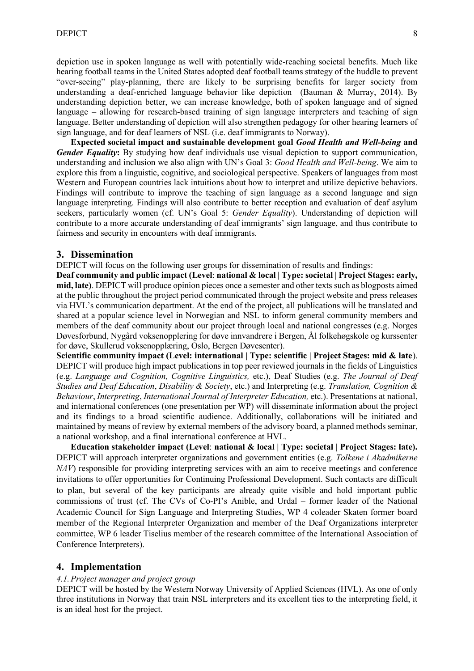depiction use in spoken language as well with potentially wide-reaching societal benefits. Much like hearing football teams in the United States adopted deaf football teams strategy of the huddle to prevent "over-seeing" play-planning, there are likely to be surprising benefits for larger society from understanding a deaf-enriched language behavior like depiction (Bauman & Murray, 2014). By understanding depiction better, we can increase knowledge, both of spoken language and of signed language – allowing for research-based training of sign language interpreters and teaching of sign language. Better understanding of depiction will also strengthen pedagogy for other hearing learners of sign language, and for deaf learners of NSL (i.e. deaf immigrants to Norway).

**Expected societal impact and sustainable development goal** *Good Health and Well-being* **and**  *Gender Equality***:** By studying how deaf individuals use visual depiction to support communication, understanding and inclusion we also align with UN's Goal 3: *Good Health and Well-being*. We aim to explore this from a linguistic, cognitive, and sociological perspective. Speakers of languages from most Western and European countries lack intuitions about how to interpret and utilize depictive behaviors. Findings will contribute to improve the teaching of sign language as a second language and sign language interpreting. Findings will also contribute to better reception and evaluation of deaf asylum seekers, particularly women (cf. UN's Goal 5: *Gender Equality*). Understanding of depiction will contribute to a more accurate understanding of deaf immigrants' sign language, and thus contribute to fairness and security in encounters with deaf immigrants.

#### **3. Dissemination**

DEPICT will focus on the following user groups for dissemination of results and findings:

**Deaf community and public impact (Level**: **national & local | Type: societal | Project Stages: early, mid, late)**. DEPICT will produce opinion pieces once a semester and other texts such as blogposts aimed at the public throughout the project period communicated through the project website and press releases via HVL's communication department. At the end of the project, all publications will be translated and shared at a popular science level in Norwegian and NSL to inform general community members and members of the deaf community about our project through local and national congresses (e.g. Norges Døvesforbund, Nygård voksenopplering for døve innvandrere i Bergen, Ål folkehøgskole og kurssenter for døve, Skullerud voksenopplæring, Oslo, Bergen Døvesenter).

**Scientific community impact (Level: international | Type: scientific | Project Stages: mid & late**). DEPICT will produce high impact publications in top peer reviewed journals in the fields of Linguistics (e.g. *Language and Cognition, Cognitive Linguistics,* etc.), Deaf Studies (e.g. *The Journal of Deaf Studies and Deaf Education*, *Disability & Society*, etc.) and Interpreting (e.g. *Translation, Cognition & Behaviour*, *Interpreting*, *International Journal of Interpreter Education,* etc.). Presentations at national, and international conferences (one presentation per WP) will disseminate information about the project and its findings to a broad scientific audience. Additionally, collaborations will be initiated and maintained by means of review by external members of the advisory board, a planned methods seminar, a national workshop, and a final international conference at HVL.

**Education stakeholder impact (Level**: **national & local | Type: societal | Project Stages: late).** DEPICT will approach interpreter organizations and government entities (e.g. *Tolkene i Akadmikerne NAV*) responsible for providing interpreting services with an aim to receive meetings and conference invitations to offer opportunities for Continuing Professional Development. Such contacts are difficult to plan, but several of the key participants are already quite visible and hold important public commissions of trust (cf. The CVs of Co-PI's Anible, and Urdal – former leader of the National Academic Council for Sign Language and Interpreting Studies, WP 4 coleader Skaten former board member of the Regional Interpreter Organization and member of the Deaf Organizations interpreter committee, WP 6 leader Tiselius member of the research committee of the International Association of Conference Interpreters).

#### **4. Implementation**

#### *4.1.Project manager and project group*

DEPICT will be hosted by the Western Norway University of Applied Sciences (HVL). As one of only three institutions in Norway that train NSL interpreters and its excellent ties to the interpreting field, it is an ideal host for the project.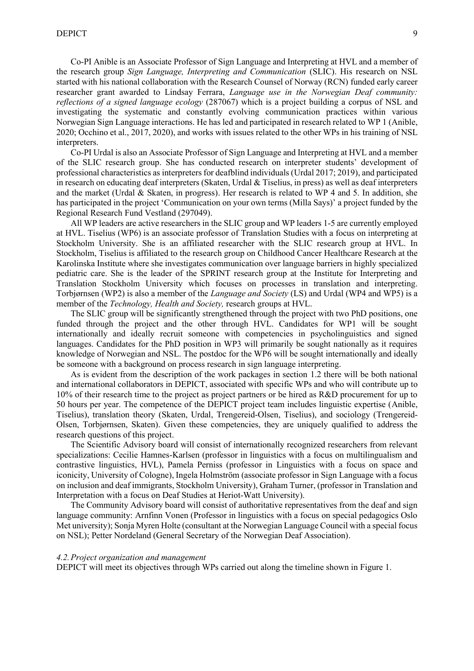Co-PI Anible is an Associate Professor of Sign Language and Interpreting at HVL and a member of the research group *Sign Language, Interpreting and Communication* (SLIC). His research on NSL started with his national collaboration with the Research Counsel of Norway (RCN) funded early career researcher grant awarded to Lindsay Ferrara, *Language use in the Norwegian Deaf community: reflections of a signed language ecology* (287067) which is a project building a corpus of NSL and investigating the systematic and constantly evolving communication practices within various Norwegian Sign Language interactions. He has led and participated in research related to WP 1 (Anible, 2020; Occhino et al., 2017, 2020), and works with issues related to the other WPs in his training of NSL interpreters.

Co-PI Urdal is also an Associate Professor of Sign Language and Interpreting at HVL and a member of the SLIC research group. She has conducted research on interpreter students' development of professional characteristics as interpreters for deafblind individuals (Urdal 2017; 2019), and participated in research on educating deaf interpreters (Skaten, Urdal & Tiselius, in press) as well as deaf interpreters and the market (Urdal & Skaten, in progress). Her research is related to WP 4 and 5. In addition, she has participated in the project 'Communication on your own terms (Milla Says)' a project funded by the Regional Research Fund Vestland (297049).

All WP leaders are active researchers in the SLIC group and WP leaders 1-5 are currently employed at HVL. Tiselius (WP6) is an associate professor of Translation Studies with a focus on interpreting at Stockholm University. She is an affiliated researcher with the SLIC research group at HVL. In Stockholm, Tiselius is affiliated to the research group on Childhood Cancer Healthcare Research at the Karolinska Institute where she investigates communication over language barriers in highly specialized pediatric care. She is the leader of the SPRINT research group at the Institute for Interpreting and Translation Stockholm University which focuses on processes in translation and interpreting. Torbjørnsen (WP2) is also a member of the *Language and Society* (LS) and Urdal (WP4 and WP5) is a member of the *Technology, Health and Society,* research groups at HVL.

The SLIC group will be significantly strengthened through the project with two PhD positions, one funded through the project and the other through HVL. Candidates for WP1 will be sought internationally and ideally recruit someone with competencies in psycholinguistics and signed languages. Candidates for the PhD position in WP3 will primarily be sought nationally as it requires knowledge of Norwegian and NSL. The postdoc for the WP6 will be sought internationally and ideally be someone with a background on process research in sign language interpreting.

As is evident from the description of the work packages in section [1.2](#page-1-0) there will be both national and international collaborators in DEPICT, associated with specific WPs and who will contribute up to 10% of their research time to the project as project partners or be hired as R&D procurement for up to 50 hours per year. The competence of the DEPICT project team includes linguistic expertise (Anible, Tiselius), translation theory (Skaten, Urdal, Trengereid-Olsen, Tiselius), and sociology (Trengereid-Olsen, Torbjørnsen, Skaten). Given these competencies, they are uniquely qualified to address the research questions of this project.

The Scientific Advisory board will consist of internationally recognized researchers from relevant specializations: Cecilie Hamnes-Karlsen (professor in linguistics with a focus on multilingualism and contrastive linguistics, HVL), Pamela Perniss (professor in Linguistics with a focus on space and iconicity, University of Cologne), Ingela Holmström (associate professor in Sign Language with a focus on inclusion and deaf immigrants, Stockholm University), Graham Turner, (professor in Translation and Interpretation with a focus on Deaf Studies at Heriot-Watt University).

The Community Advisory board will consist of authoritative representatives from the deaf and sign language community: Arnfinn Vonen (Professor in linguistics with a focus on special pedagogics Oslo Met university); Sonja Myren Holte (consultant at the Norwegian Language Council with a special focus on NSL); Petter Nordeland (General Secretary of the Norwegian Deaf Association).

#### *4.2.Project organization and management*

DEPICT will meet its objectives through WPs carried out along the timeline shown in Figure 1.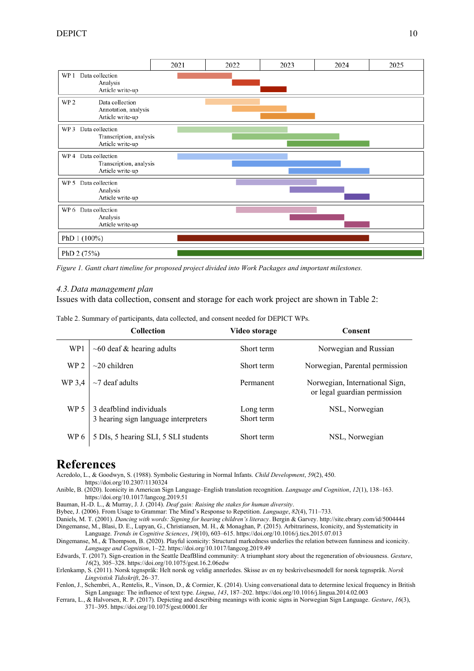

*Figure 1. Gantt chart timeline for proposed project divided into Work Packages and important milestones.*

#### <span id="page-9-0"></span>*4.3.Data management plan*

Issues with data collection, consent and storage for each work project are shown in Table 2:

Table 2. Summary of participants, data collected, and consent needed for DEPICT WPs.

|                 | <b>Collection</b>                                               | Video storage           | Consent                                                        |
|-----------------|-----------------------------------------------------------------|-------------------------|----------------------------------------------------------------|
| WP1             | $\sim 60$ deaf & hearing adults                                 | Short term              | Norwegian and Russian                                          |
| WP <sub>2</sub> | $\sim$ 20 children                                              | Short term              | Norwegian, Parental permission                                 |
| WP 3,4          | $\sim$ 7 deaf adults                                            | Permanent               | Norwegian, International Sign,<br>or legal guardian permission |
| WP 5            | 3 deafblind individuals<br>3 hearing sign language interpreters | Long term<br>Short term | NSL, Norwegian                                                 |
| WP 6            | 5 DIs, 5 hearing SLI, 5 SLI students                            | Short term              | NSL, Norwegian                                                 |

# **References**

Acredolo, L., & Goodwyn, S. (1988). Symbolic Gesturing in Normal Infants. *Child Development*, *59*(2), 450. https://doi.org/10.2307/1130324

Anible, B. (2020). Iconicity in American Sign Language–English translation recognition. *Language and Cognition*, *12*(1), 138–163. https://doi.org/10.1017/langcog.2019.51

Bauman, H.-D. L., & Murray, J. J. (2014). *Deaf gain: Raising the stakes for human diversity*.

Bybee, J. (2006). From Usage to Grammar: The Mind's Response to Repetition. *Language*, *82*(4), 711–733.

Daniels, M. T. (2001). *Dancing with words: Signing for hearing children's literacy*. Bergin & Garvey. http://site.ebrary.com/id/5004444

Dingemanse, M., Blasi, D. E., Lupyan, G., Christiansen, M. H., & Monaghan, P. (2015). Arbitrariness, Iconicity, and Systematicity in Language. *Trends in Cognitive Sciences*, *19*(10), 603–615. https://doi.org/10.1016/j.tics.2015.07.013

Dingemanse, M., & Thompson, B. (2020). Playful iconicity: Structural markedness underlies the relation between funniness and iconicity. *Language and Cognition*, 1–22. https://doi.org/10.1017/langcog.2019.49

Edwards, T. (2017). Sign-creation in the Seattle DeafBlind community: A triumphant story about the regeneration of obviousness. *Gesture*, *16*(2), 305–328. https://doi.org/10.1075/gest.16.2.06edw

Erlenkamp, S. (2011). Norsk tegnspråk: Helt norsk og veldig annerledes. Skisse av en ny beskrivelsesmodell for norsk tegnspråk. *Norsk Lingvistisk Tidsskrift*, 26–37.

Fenlon, J., Schembri, A., Rentelis, R., Vinson, D., & Cormier, K. (2014). Using conversational data to determine lexical frequency in British Sign Language: The influence of text type. *Lingua*, *143*, 187–202. https://doi.org/10.1016/j.lingua.2014.02.003

Ferrara, L., & Halvorsen, R. P. (2017). Depicting and describing meanings with iconic signs in Norwegian Sign Language. *Gesture*, *16*(3), 371–395. https://doi.org/10.1075/gest.00001.fer